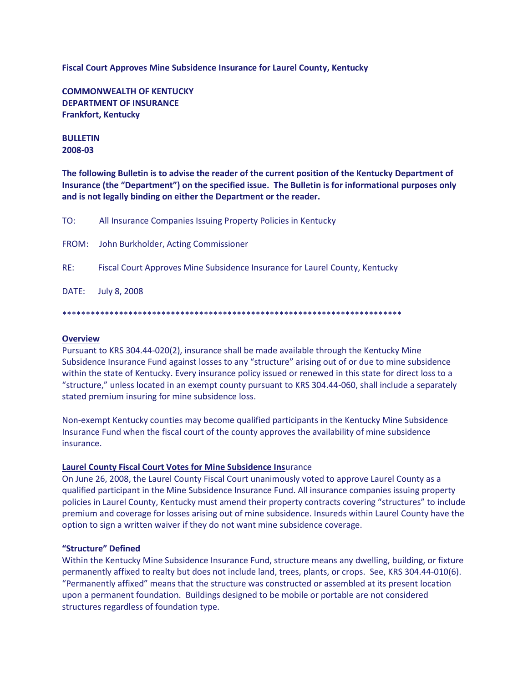**Fiscal Court Approves Mine Subsidence Insurance for Laurel County, Kentucky**

**COMMONWEALTH OF KENTUCKY DEPARTMENT OF INSURANCE Frankfort, Kentucky**

## **BULLETIN 2008-03**

**The following Bulletin is to advise the reader of the current position of the Kentucky Department of Insurance (the "Department") on the specified issue. The Bulletin is for informational purposes only and is not legally binding on either the Department or the reader.**

| TO: | All Insurance Companies Issuing Property Policies in Kentucky               |
|-----|-----------------------------------------------------------------------------|
|     | FROM: John Burkholder, Acting Commissioner                                  |
| RE: | Fiscal Court Approves Mine Subsidence Insurance for Laurel County, Kentucky |
|     | DATE: July 8, 2008                                                          |
|     |                                                                             |

#### \*\*\*\*\*\*\*\*\*\*\*\*\*\*\*\*\*\*\*\*\*\*\*\*\*\*\*\*\*\*\*\*\*\*\*\*\*\*\*\*\*\*\*\*\*\*\*\*\*\*\*\*\*\*\*\*\*\*\*\*\*\*\*\*\*\*\*\*\*\*\*\*

### **Overview**

Pursuant to KRS 304.44-020(2), insurance shall be made available through the Kentucky Mine Subsidence Insurance Fund against losses to any "structure" arising out of or due to mine subsidence within the state of Kentucky. Every insurance policy issued or renewed in this state for direct loss to a "structure," unless located in an exempt county pursuant to KRS 304.44-060, shall include a separately stated premium insuring for mine subsidence loss.

Non-exempt Kentucky counties may become qualified participants in the Kentucky Mine Subsidence Insurance Fund when the fiscal court of the county approves the availability of mine subsidence insurance.

#### **Laurel County Fiscal Court Votes for Mine Subsidence Ins**urance

On June 26, 2008, the Laurel County Fiscal Court unanimously voted to approve Laurel County as a qualified participant in the Mine Subsidence Insurance Fund. All insurance companies issuing property policies in Laurel County, Kentucky must amend their property contracts covering "structures" to include premium and coverage for losses arising out of mine subsidence. Insureds within Laurel County have the option to sign a written waiver if they do not want mine subsidence coverage.

#### **"Structure" Defined**

Within the Kentucky Mine Subsidence Insurance Fund, structure means any dwelling, building, or fixture permanently affixed to realty but does not include land, trees, plants, or crops. See, KRS 304.44-010(6). "Permanently affixed" means that the structure was constructed or assembled at its present location upon a permanent foundation. Buildings designed to be mobile or portable are not considered structures regardless of foundation type.